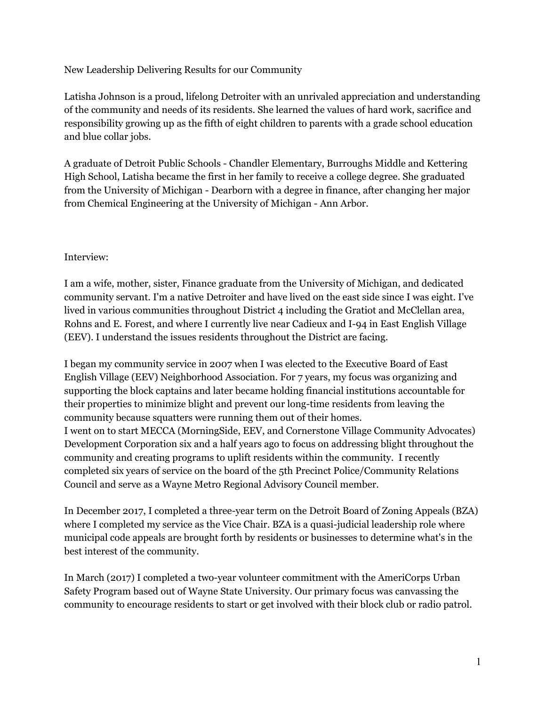New Leadership Delivering Results for our Community

Latisha Johnson is a proud, lifelong Detroiter with an unrivaled appreciation and understanding of the community and needs of its residents. She learned the values of hard work, sacrifice and responsibility growing up as the fifth of eight children to parents with a grade school education and blue collar jobs.

A graduate of Detroit Public Schools - Chandler Elementary, Burroughs Middle and Kettering High School, Latisha became the first in her family to receive a college degree. She graduated from the University of Michigan - Dearborn with a degree in finance, after changing her major from Chemical Engineering at the University of Michigan - Ann Arbor.

## Interview:

I am a wife, mother, sister, Finance graduate from the University of Michigan, and dedicated community servant. I'm a native Detroiter and have lived on the east side since I was eight. I've lived in various communities throughout District 4 including the Gratiot and McClellan area, Rohns and E. Forest, and where I currently live near Cadieux and I-94 in East English Village (EEV). I understand the issues residents throughout the District are facing.

I began my community service in 2007 when I was elected to the Executive Board of East English Village (EEV) Neighborhood Association. For 7 years, my focus was organizing and supporting the block captains and later became holding financial institutions accountable for their properties to minimize blight and prevent our long-time residents from leaving the community because squatters were running them out of their homes. I went on to start MECCA (MorningSide, EEV, and Cornerstone Village Community Advocates) Development Corporation six and a half years ago to focus on addressing blight throughout the community and creating programs to uplift residents within the community. I recently completed six years of service on the board of the 5th Precinct Police/Community Relations Council and serve as a Wayne Metro Regional Advisory Council member.

In December 2017, I completed a three-year term on the Detroit Board of Zoning Appeals (BZA) where I completed my service as the Vice Chair. BZA is a quasi-judicial leadership role where municipal code appeals are brought forth by residents or businesses to determine what's in the best interest of the community.

In March (2017) I completed a two-year volunteer commitment with the AmeriCorps Urban Safety Program based out of Wayne State University. Our primary focus was canvassing the community to encourage residents to start or get involved with their block club or radio patrol.